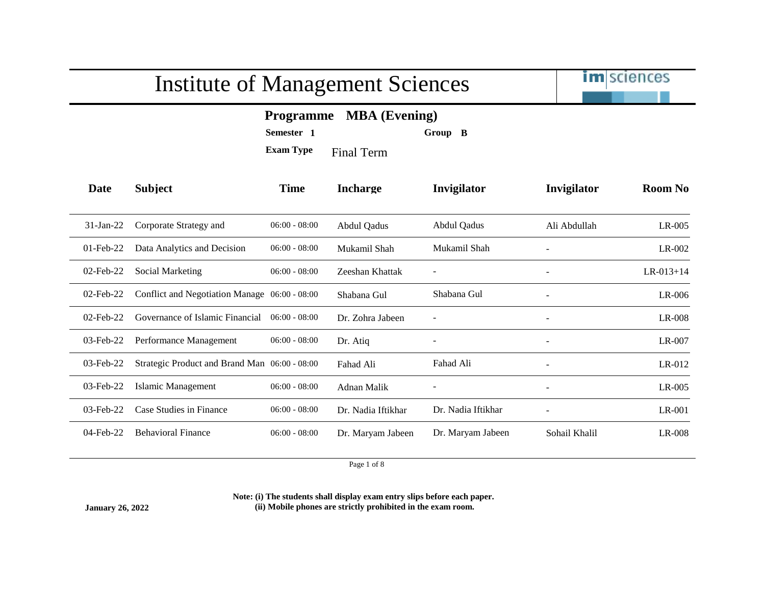

### **Programme MBA (Evening)**

**Semester 1 Group B**

**Exam Type** Final Term

| Date         | <b>Subject</b>                                | <b>Time</b>     | <b>Incharge</b>    | <b>Invigilator</b> | Invigilator              | <b>Room No</b> |
|--------------|-----------------------------------------------|-----------------|--------------------|--------------------|--------------------------|----------------|
|              |                                               |                 |                    |                    |                          |                |
| $31$ -Jan-22 | Corporate Strategy and                        | $06:00 - 08:00$ | <b>Abdul Qadus</b> | Abdul Qadus        | Ali Abdullah             | $LR-005$       |
| $01$ -Feb-22 | Data Analytics and Decision                   | $06:00 - 08:00$ | Mukamil Shah       | Mukamil Shah       |                          | LR-002         |
| 02-Feb-22    | Social Marketing                              | $06:00 - 08:00$ | Zeeshan Khattak    |                    |                          | $LR-013+14$    |
| $02$ -Feb-22 | Conflict and Negotiation Manage 06:00 - 08:00 |                 | Shabana Gul        | Shabana Gul        |                          | $LR-006$       |
| $02$ -Feb-22 | Governance of Islamic Financial               | $06:00 - 08:00$ | Dr. Zohra Jabeen   |                    |                          | LR-008         |
| $03$ -Feb-22 | Performance Management                        | $06:00 - 08:00$ | Dr. Atiq           |                    | $\overline{\phantom{a}}$ | $LR-007$       |
| 03-Feb-22    | Strategic Product and Brand Man 06:00 - 08:00 |                 | Fahad Ali          | Fahad Ali          |                          | LR-012         |
| 03-Feb-22    | Islamic Management                            | $06:00 - 08:00$ | Adnan Malik        |                    | $\overline{\phantom{a}}$ | $LR-005$       |
| $03$ -Feb-22 | Case Studies in Finance                       | $06:00 - 08:00$ | Dr. Nadia Iftikhar | Dr. Nadia Iftikhar |                          | $LR-001$       |
| 04-Feb-22    | <b>Behavioral Finance</b>                     | $06:00 - 08:00$ | Dr. Maryam Jabeen  | Dr. Maryam Jabeen  | Sohail Khalil            | $LR-008$       |

Page 1 of 8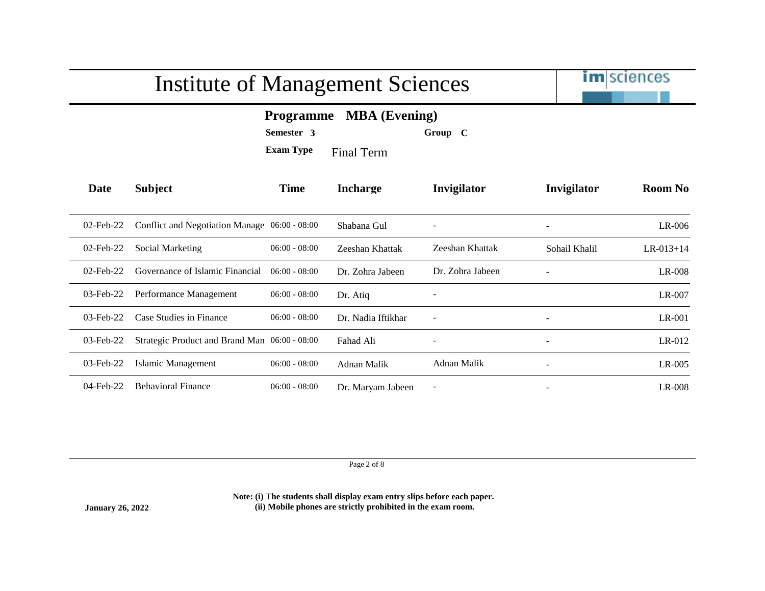

### **Programme MBA (Evening)**

**Semester 3 Group C**

**Exam Type** Final Term

| Date         | <b>Subject</b>                                | <b>Time</b>     | <b>Incharge</b>    | Invigilator              | Invigilator              | <b>Room No</b>  |
|--------------|-----------------------------------------------|-----------------|--------------------|--------------------------|--------------------------|-----------------|
| $02$ -Feb-22 | Conflict and Negotiation Manage 06:00 - 08:00 |                 | Shabana Gul        |                          | $\overline{\phantom{a}}$ | $LR-006$        |
| $02$ -Feb-22 | Social Marketing                              | $06:00 - 08:00$ | Zeeshan Khattak    | Zeeshan Khattak          | Sohail Khalil            | $LR - 013 + 14$ |
| $02$ -Feb-22 | Governance of Islamic Financial               | $06:00 - 08:00$ | Dr. Zohra Jabeen   | Dr. Zohra Jabeen         |                          | LR-008          |
| $03$ -Feb-22 | Performance Management                        | $06:00 - 08:00$ | Dr. Atiq           |                          |                          | LR-007          |
| 03-Feb-22    | Case Studies in Finance                       | $06:00 - 08:00$ | Dr. Nadia Iftikhar |                          |                          | $LR-001$        |
| $03$ -Feb-22 | Strategic Product and Brand Man 06:00 - 08:00 |                 | Fahad Ali          |                          | $\overline{\phantom{a}}$ | $LR-012$        |
| $03$ -Feb-22 | Islamic Management                            | $06:00 - 08:00$ | Adnan Malik        | Adnan Malik              | $\overline{\phantom{a}}$ | $LR-005$        |
| $04$ -Feb-22 | <b>Behavioral Finance</b>                     | $06:00 - 08:00$ | Dr. Maryam Jabeen  | $\overline{\phantom{a}}$ | $\overline{\phantom{a}}$ | LR-008          |

Page 2 of 8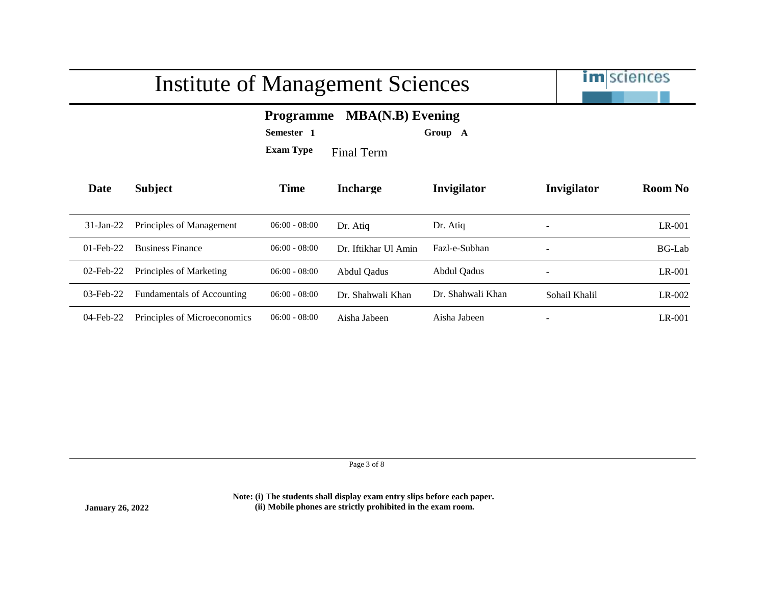

### **Programme MBA(N.B) Evening**

**Semester 1 Group A**

**Exam Type** Final Term

| Date         | <b>Subject</b>               | <b>Time</b>     | <b>Incharge</b>      | <b>Invigilator</b> | Invigilator              | <b>Room No</b> |
|--------------|------------------------------|-----------------|----------------------|--------------------|--------------------------|----------------|
| $31-Ian-22$  | Principles of Management     | $06:00 - 08:00$ | Dr. Atiq             | Dr. Atiq           | $\overline{\phantom{a}}$ | LR-001         |
| $01$ -Feb-22 | <b>Business Finance</b>      | $06:00 - 08:00$ | Dr. Iftikhar Ul Amin | Fazl-e-Subhan      | -                        | <b>BG-Lab</b>  |
| $02$ -Feb-22 | Principles of Marketing      | $06:00 - 08:00$ | Abdul Qadus          | Abdul Qadus        | $\overline{\phantom{a}}$ | LR-001         |
| $03$ -Feb-22 | Fundamentals of Accounting   | $06:00 - 08:00$ | Dr. Shahwali Khan    | Dr. Shahwali Khan  | Sohail Khalil            | $LR-002$       |
| $04$ -Feb-22 | Principles of Microeconomics | $06:00 - 08:00$ | Aisha Jabeen         | Aisha Jabeen       | $\overline{\phantom{0}}$ | $LR-001$       |

Page 3 of 8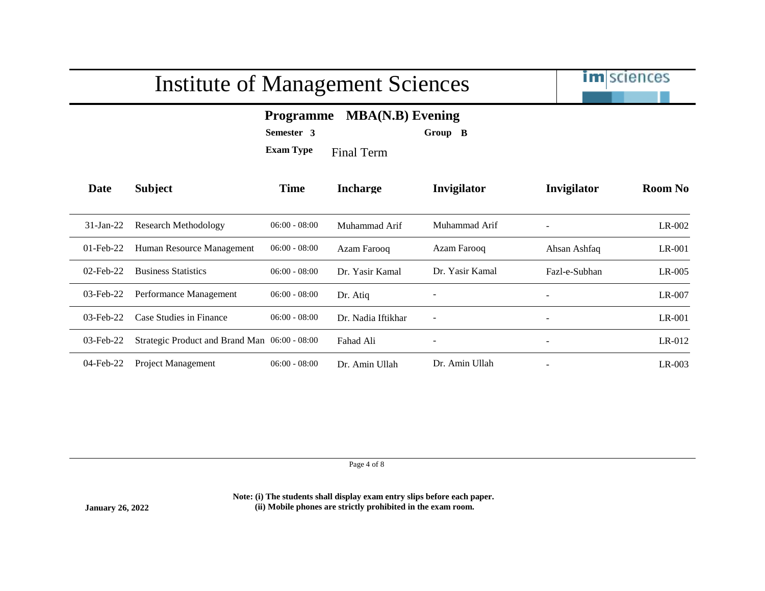

### **Programme MBA(N.B) Evening**

**Semester 3 Group B**

**Exam Type** Final Term

| Date         | <b>Subject</b>                                | <b>Time</b>     | <b>Incharge</b>    | <b>Invigilator</b>       | Invigilator              | Room No  |
|--------------|-----------------------------------------------|-----------------|--------------------|--------------------------|--------------------------|----------|
| $31$ -Jan-22 | Research Methodology                          | $06:00 - 08:00$ | Muhammad Arif      | Muhammad Arif            | $\overline{\phantom{a}}$ | LR-002   |
| $01$ -Feb-22 | Human Resource Management                     | $06:00 - 08:00$ | Azam Farooq        | Azam Farooq              | Ahsan Ashfaq             | $LR-001$ |
| $02$ -Feb-22 | <b>Business Statistics</b>                    | $06:00 - 08:00$ | Dr. Yasir Kamal    | Dr. Yasir Kamal          | Fazl-e-Subhan            | $LR-005$ |
| $03$ -Feb-22 | Performance Management                        | $06:00 - 08:00$ | Dr. Atiq           |                          | $\overline{\phantom{a}}$ | $LR-007$ |
| $03$ -Feb-22 | Case Studies in Finance                       | $06:00 - 08:00$ | Dr. Nadia Iftikhar | $\overline{\phantom{a}}$ | $\overline{\phantom{a}}$ | $LR-001$ |
| 03-Feb-22    | Strategic Product and Brand Man 06:00 - 08:00 |                 | Fahad Ali          |                          | $\overline{\phantom{a}}$ | $LR-012$ |
| 04-Feb-22    | <b>Project Management</b>                     | $06:00 - 08:00$ | Dr. Amin Ullah     | Dr. Amin Ullah           | $\overline{\phantom{a}}$ | $LR-003$ |

Page 4 of 8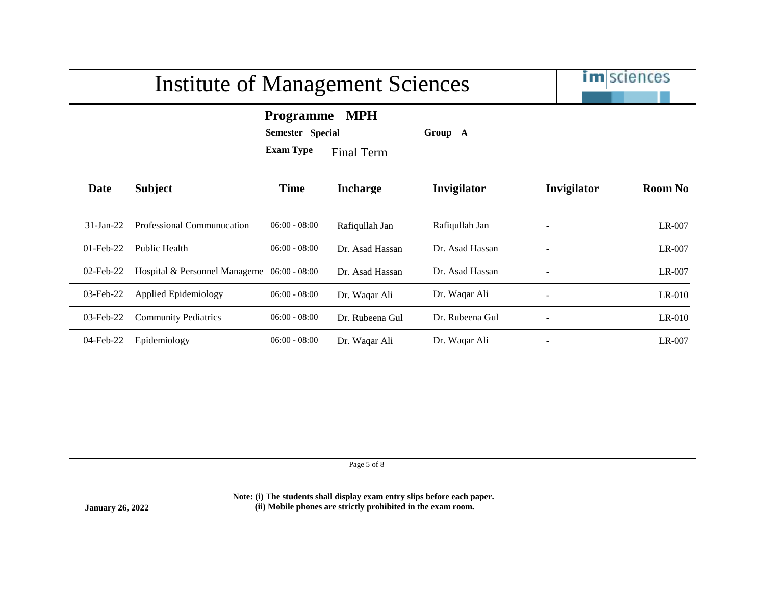|              | <b>Institute of Management Sciences</b>     |                                                                                             |                 |                 |                          | <b>im</b> sciences |  |
|--------------|---------------------------------------------|---------------------------------------------------------------------------------------------|-----------------|-----------------|--------------------------|--------------------|--|
|              |                                             | <b>MPH</b><br><b>Programme</b><br><b>Semester Special</b><br><b>Exam Type</b><br>Final Term |                 | Group A         |                          |                    |  |
| Date         | <b>Subject</b>                              | <b>Time</b>                                                                                 | <b>Incharge</b> | Invigilator     | Invigilator              | <b>Room No</b>     |  |
| $31$ -Jan-22 | Professional Communucation                  | $06:00 - 08:00$                                                                             | Rafiqullah Jan  | Rafiqullah Jan  |                          | LR-007             |  |
| $01$ -Feb-22 | Public Health                               | $06:00 - 08:00$                                                                             | Dr. Asad Hassan | Dr. Asad Hassan |                          | LR-007             |  |
| $02$ -Feb-22 | Hospital & Personnel Manageme 06:00 - 08:00 |                                                                                             | Dr. Asad Hassan | Dr. Asad Hassan | $\overline{\phantom{a}}$ | LR-007             |  |
| $03$ -Feb-22 | Applied Epidemiology                        | $06:00 - 08:00$                                                                             | Dr. Waqar Ali   | Dr. Waqar Ali   |                          | $LR-010$           |  |
| 03-Feb-22    | <b>Community Pediatrics</b>                 | $06:00 - 08:00$                                                                             | Dr. Rubeena Gul | Dr. Rubeena Gul |                          | $LR-010$           |  |
| 04-Feb-22    | Epidemiology                                | $06:00 - 08:00$                                                                             | Dr. Waqar Ali   | Dr. Waqar Ali   |                          | $LR-007$           |  |

Page 5 of 8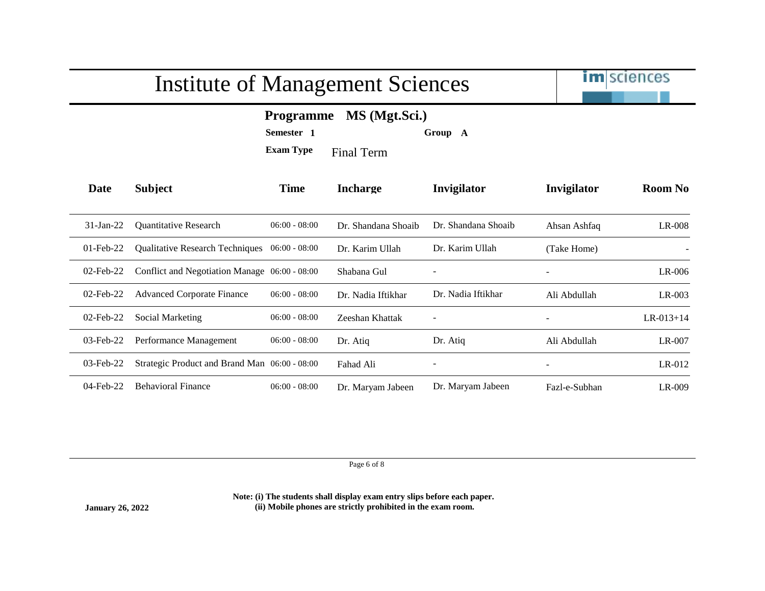

### **Programme MS (Mgt.Sci.)**

**Semester 1 Group A**

**Exam Type** Final Term

| Date         | <b>Subject</b>                                | <b>Time</b>     | <b>Incharge</b>     | Invigilator         | Invigilator              | <b>Room No</b>  |
|--------------|-----------------------------------------------|-----------------|---------------------|---------------------|--------------------------|-----------------|
| $31$ -Jan-22 | <b>Ouantitative Research</b>                  | $06:00 - 08:00$ | Dr. Shandana Shoaib | Dr. Shandana Shoaib | Ahsan Ashfaq             | $LR-008$        |
| $01$ -Feb-22 | Qualitative Research Techniques 06:00 - 08:00 |                 | Dr. Karim Ullah     | Dr. Karim Ullah     | (Take Home)              |                 |
| $02$ -Feb-22 | Conflict and Negotiation Manage 06:00 - 08:00 |                 | Shabana Gul         |                     |                          | $LR-006$        |
| $02$ -Feb-22 | <b>Advanced Corporate Finance</b>             | $06:00 - 08:00$ | Dr. Nadia Iftikhar  | Dr. Nadia Iftikhar  | Ali Abdullah             | $LR-003$        |
| $02$ -Feb-22 | <b>Social Marketing</b>                       | $06:00 - 08:00$ | Zeeshan Khattak     |                     |                          | $LR - 013 + 14$ |
| $03$ -Feb-22 | Performance Management                        | $06:00 - 08:00$ | Dr. Atiq            | Dr. Atiq            | Ali Abdullah             | LR-007          |
| $03$ -Feb-22 | Strategic Product and Brand Man 06:00 - 08:00 |                 | Fahad Ali           |                     | $\overline{\phantom{a}}$ | $LR-012$        |
| $04$ -Feb-22 | <b>Behavioral Finance</b>                     | $06:00 - 08:00$ | Dr. Maryam Jabeen   | Dr. Maryam Jabeen   | Fazl-e-Subhan            | LR-009          |

Page 6 of 8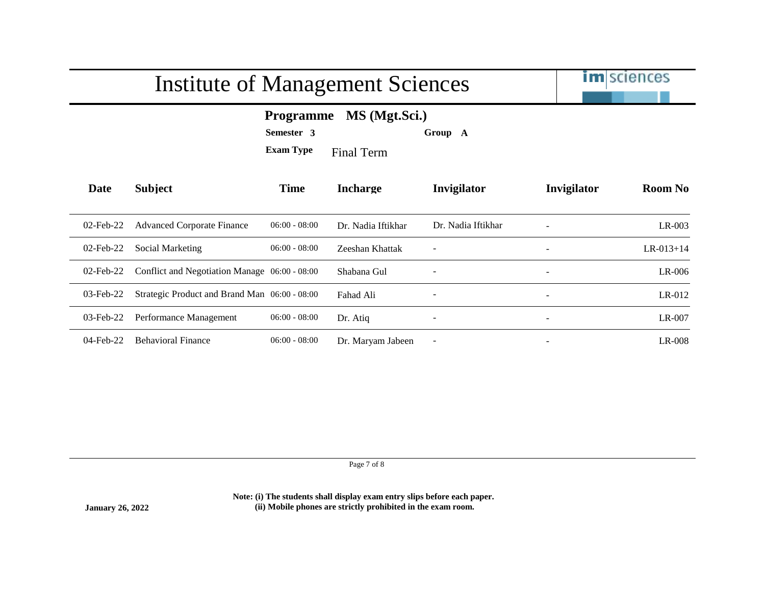|              | Institute of Management Sciences              | <b>im</b> sciences                                 |                                    |                          |                          |                |
|--------------|-----------------------------------------------|----------------------------------------------------|------------------------------------|--------------------------|--------------------------|----------------|
|              |                                               | <b>Programme</b><br>Semester 3<br><b>Exam Type</b> | MS (Mgt.Sci.)<br><b>Final Term</b> | Group A                  |                          |                |
| Date         | <b>Subject</b>                                | <b>Time</b>                                        | <b>Incharge</b>                    | Invigilator              | Invigilator              | <b>Room No</b> |
| 02-Feb-22    | <b>Advanced Corporate Finance</b>             | $06:00 - 08:00$                                    | Dr. Nadia Iftikhar                 | Dr. Nadia Iftikhar       |                          | $LR-003$       |
| 02-Feb-22    | Social Marketing                              | $06:00 - 08:00$                                    | Zeeshan Khattak                    |                          |                          | $LR-013+14$    |
| 02-Feb-22    | Conflict and Negotiation Manage 06:00 - 08:00 |                                                    | Shabana Gul                        |                          | $\overline{\phantom{a}}$ | LR-006         |
| 03-Feb-22    | Strategic Product and Brand Man 06:00 - 08:00 |                                                    | Fahad Ali                          |                          | $\overline{\phantom{a}}$ | LR-012         |
| 03-Feb-22    | Performance Management                        | $06:00 - 08:00$                                    | Dr. Atiq                           |                          | $\overline{\phantom{a}}$ | LR-007         |
| $04$ -Feb-22 | <b>Behavioral Finance</b>                     | $06:00 - 08:00$                                    | Dr. Maryam Jabeen                  | $\overline{\phantom{a}}$ |                          | LR-008         |

Page 7 of 8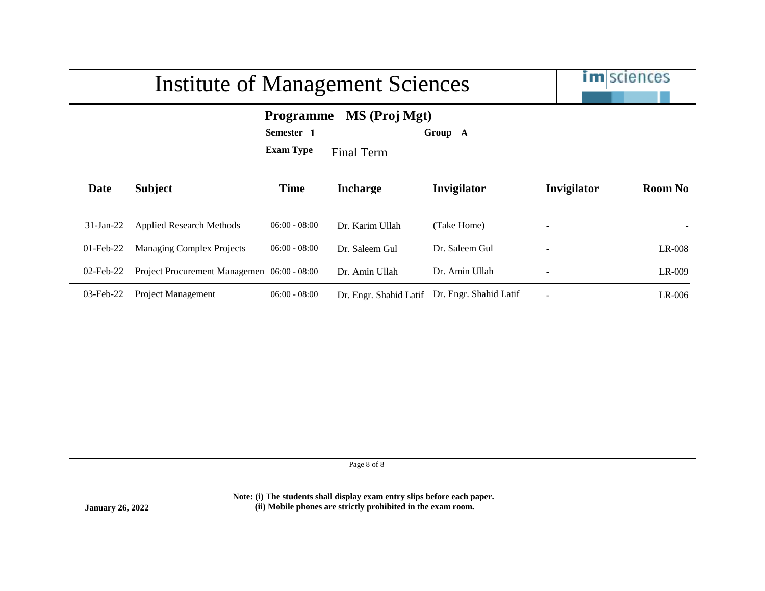|              | Institute of Management Sciences                                                                    |                 | <b>im</b> sciences     |                        |                          |                |
|--------------|-----------------------------------------------------------------------------------------------------|-----------------|------------------------|------------------------|--------------------------|----------------|
|              | MS (Proj Mgt)<br><b>Programme</b><br>Semester 1<br>Group A<br><b>Exam Type</b><br><b>Final Term</b> |                 |                        |                        |                          |                |
| Date         | <b>Subject</b>                                                                                      | <b>Time</b>     | <b>Incharge</b>        | Invigilator            | Invigilator              | <b>Room No</b> |
| $31$ -Jan-22 | <b>Applied Research Methods</b>                                                                     | $06:00 - 08:00$ | Dr. Karim Ullah        | (Take Home)            | $\overline{\phantom{a}}$ |                |
| $01$ -Feb-22 | <b>Managing Complex Projects</b>                                                                    | $06:00 - 08:00$ | Dr. Saleem Gul         | Dr. Saleem Gul         |                          | $LR-008$       |
| $02$ -Feb-22 | Project Procurement Managemen 06:00 - 08:00                                                         |                 | Dr. Amin Ullah         | Dr. Amin Ullah         | $\overline{\phantom{a}}$ | LR-009         |
| $03$ -Feb-22 | Project Management                                                                                  | $06:00 - 08:00$ | Dr. Engr. Shahid Latif | Dr. Engr. Shahid Latif |                          | $LR-006$       |

Page 8 of 8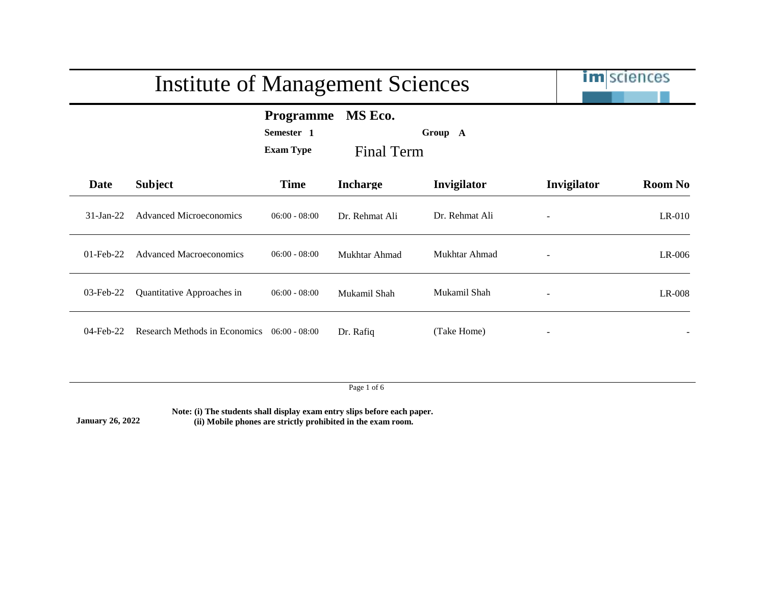|              | <b>Institute of Management Sciences</b> |                                                    |                       |                |             | <b>im</b> sciences |
|--------------|-----------------------------------------|----------------------------------------------------|-----------------------|----------------|-------------|--------------------|
|              |                                         | <b>Programme</b><br>Semester 1<br><b>Exam Type</b> | MS Eco.<br>Final Term | Group A        |             |                    |
| Date         | <b>Subject</b>                          | <b>Time</b>                                        | <b>Incharge</b>       | Invigilator    | Invigilator | <b>Room No</b>     |
| $31-Ian-22$  | <b>Advanced Microeconomics</b>          | $06:00 - 08:00$                                    | Dr. Rehmat Ali        | Dr. Rehmat Ali |             | $LR-010$           |
| $01$ -Feb-22 | <b>Advanced Macroeconomics</b>          | $06:00 - 08:00$                                    | Mukhtar Ahmad         | Mukhtar Ahmad  |             | $LR-006$           |
| 03-Feb-22    | Quantitative Approaches in              | $06:00 - 08:00$                                    | Mukamil Shah          | Mukamil Shah   |             | $LR-008$           |
| $04$ -Feb-22 | Research Methods in Economics           | $06:00 - 08:00$                                    | Dr. Rafiq             | (Take Home)    |             |                    |

Page 1 of 6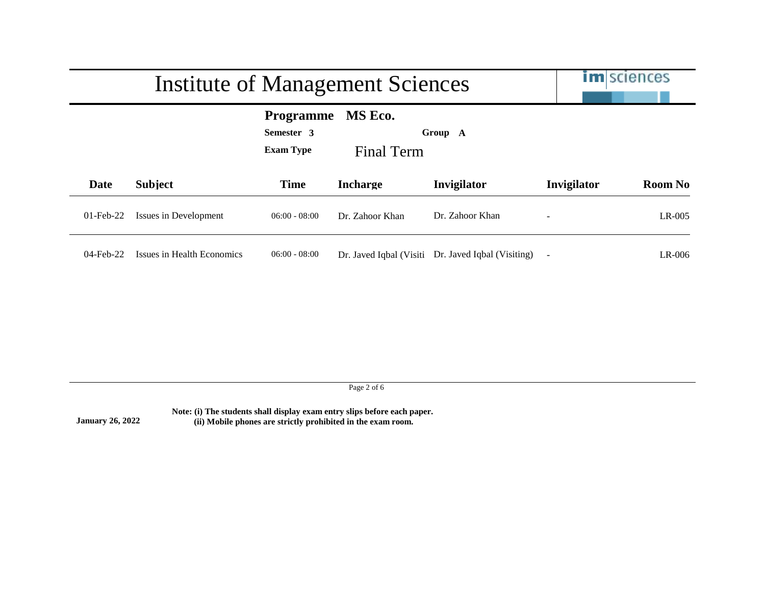|              | Institute of Management Sciences |                                                                                        | <b>im</b> sciences       |                            |                          |                |
|--------------|----------------------------------|----------------------------------------------------------------------------------------|--------------------------|----------------------------|--------------------------|----------------|
|              |                                  | MS Eco.<br><b>Programme</b><br>Semester 3<br>Group A<br><b>Exam Type</b><br>Final Term |                          |                            |                          |                |
| Date         | <b>Subject</b>                   | <b>Time</b>                                                                            | <b>Incharge</b>          | Invigilator                | Invigilator              | <b>Room No</b> |
| $01$ -Feb-22 | Issues in Development            | $06:00 - 08:00$                                                                        | Dr. Zahoor Khan          | Dr. Zahoor Khan            |                          | $LR-005$       |
| $04$ -Feb-22 | Issues in Health Economics       | $06:00 - 08:00$                                                                        | Dr. Javed Iqbal (Visiti) | Dr. Javed Iqbal (Visiting) | $\overline{\phantom{0}}$ | $LR-006$       |

Page 2 of 6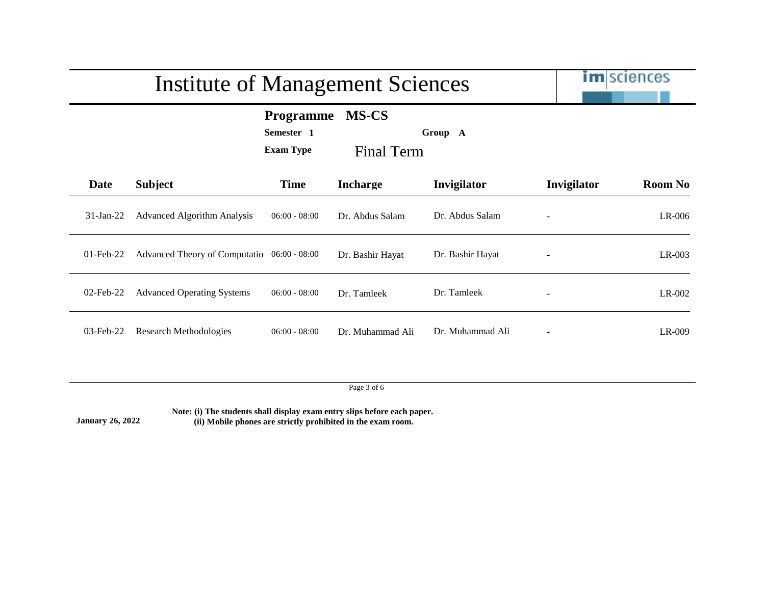|              | <b>Institute of Management Sciences</b>     |                                                    | <b>im</b> sciences                |                  |                 |                |
|--------------|---------------------------------------------|----------------------------------------------------|-----------------------------------|------------------|-----------------|----------------|
|              |                                             | <b>Programme</b><br>Semester 1<br><b>Exam Type</b> | <b>MS-CS</b><br><b>Final Term</b> | Group A          |                 |                |
| Date         | <b>Subject</b>                              | <b>Time</b>                                        | <b>Incharge</b>                   | Invigilator      | Invigilator     | <b>Room No</b> |
| $31-Jan-22$  | <b>Advanced Algorithm Analysis</b>          | $06:00 - 08:00$                                    | Dr. Abdus Salam                   | Dr. Abdus Salam  |                 | $LR-006$       |
| $01$ -Feb-22 | Advanced Theory of Computatio 06:00 - 08:00 |                                                    | Dr. Bashir Hayat                  | Dr. Bashir Hayat | $\qquad \qquad$ | $LR-003$       |
| $02$ -Feb-22 | <b>Advanced Operating Systems</b>           | $06:00 - 08:00$                                    | Dr. Tamleek                       | Dr. Tamleek      |                 | LR-002         |
| 03-Feb-22    | <b>Research Methodologies</b>               | $06:00 - 08:00$                                    | Dr. Muhammad Ali                  | Dr. Muhammad Ali |                 | LR-009         |

Page 3 of 6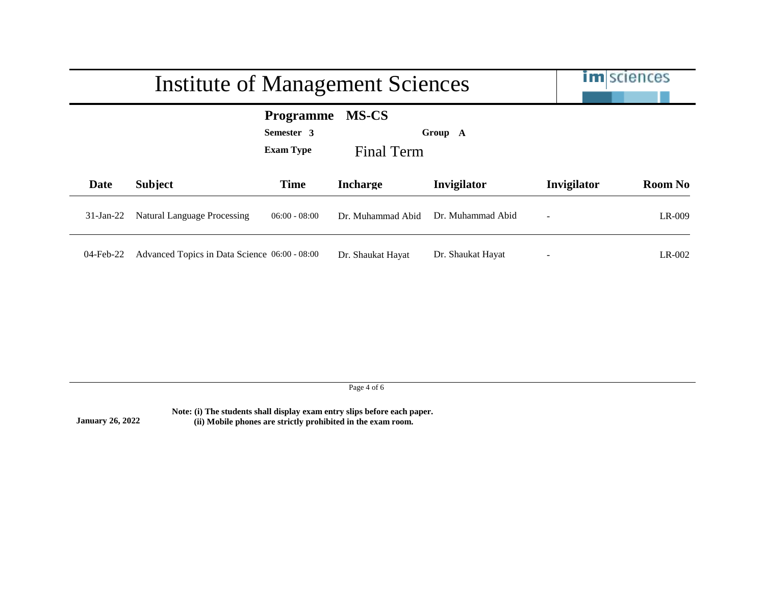|             | Institute of Management Sciences              | <b>im</b> sciences                                 |                            |                   |             |                |
|-------------|-----------------------------------------------|----------------------------------------------------|----------------------------|-------------------|-------------|----------------|
|             |                                               | <b>Programme</b><br>Semester 3<br><b>Exam Type</b> | <b>MS-CS</b><br>Final Term | Group A           |             |                |
| Date        | <b>Subject</b>                                | <b>Time</b>                                        | <b>Incharge</b>            | Invigilator       | Invigilator | <b>Room No</b> |
| $31-Ian-22$ | <b>Natural Language Processing</b>            | $06:00 - 08:00$                                    | Dr. Muhammad Abid          | Dr. Muhammad Abid |             | LR-009         |
| 04-Feb-22   | Advanced Topics in Data Science 06:00 - 08:00 |                                                    | Dr. Shaukat Hayat          | Dr. Shaukat Hayat |             | LR-002         |

Page 4 of 6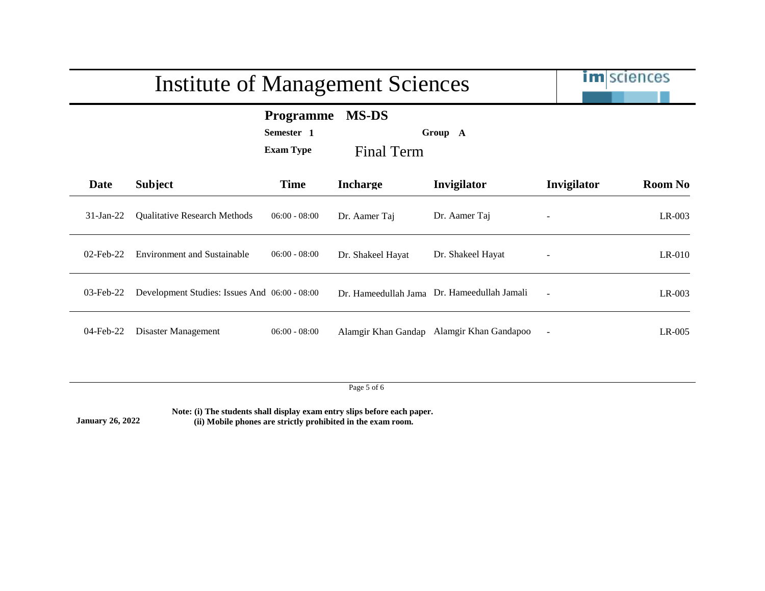|              | <b>Institute of Management Sciences</b>       | <b>im</b> sciences                                 |                                   |                                             |             |                |
|--------------|-----------------------------------------------|----------------------------------------------------|-----------------------------------|---------------------------------------------|-------------|----------------|
|              |                                               | <b>Programme</b><br>Semester 1<br><b>Exam Type</b> | <b>MS-DS</b><br><b>Final Term</b> | Group A                                     |             |                |
| Date         | <b>Subject</b>                                | <b>Time</b>                                        | <b>Incharge</b>                   | Invigilator                                 | Invigilator | <b>Room No</b> |
| $31-Jan-22$  | <b>Qualitative Research Methods</b>           | $06:00 - 08:00$                                    | Dr. Aamer Taj                     | Dr. Aamer Taj                               |             | $LR-003$       |
| $02$ -Feb-22 | <b>Environment and Sustainable</b>            | $06:00 - 08:00$                                    | Dr. Shakeel Hayat                 | Dr. Shakeel Hayat                           |             | $LR-010$       |
| $03$ -Feb-22 | Development Studies: Issues And 06:00 - 08:00 |                                                    |                                   | Dr. Hameedullah Jama Dr. Hameedullah Jamali |             | $LR-003$       |
| 04-Feb-22    | Disaster Management                           | $06:00 - 08:00$                                    |                                   | Alamgir Khan Gandap Alamgir Khan Gandapoo   |             | $LR-005$       |

Page 5 of 6